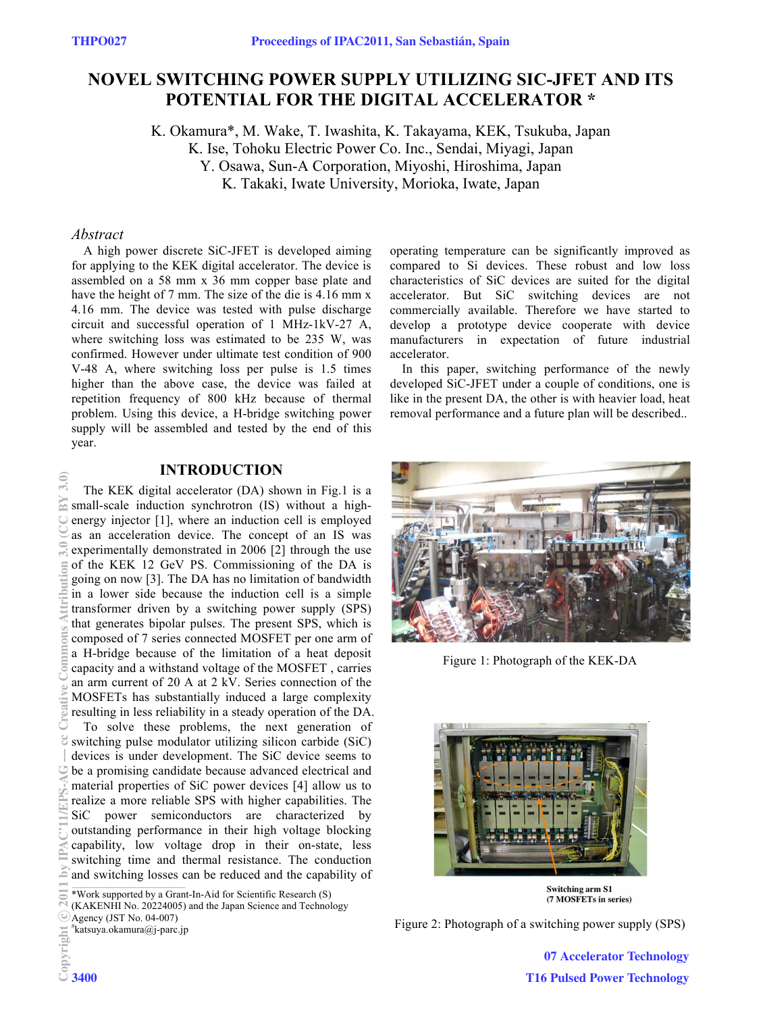# **NOVEL SWITCHING POWER SUPPLY UTILIZING SIC-JFET AND ITS POTENTIAL FOR THE DIGITAL ACCELERATOR \***

K. Okamura\*, M. Wake, T. Iwashita, K. Takayama, KEK, Tsukuba, Japan K. Ise, Tohoku Electric Power Co. Inc., Sendai, Miyagi, Japan Y. Osawa, Sun-A Corporation, Miyoshi, Hiroshima, Japan K. Takaki, Iwate University, Morioka, Iwate, Japan

## *Abstract*

A high power discrete SiC-JFET is developed aiming for applying to the KEK digital accelerator. The device is assembled on a 58 mm x 36 mm copper base plate and have the height of 7 mm. The size of the die is 4.16 mm x 4.16 mm. The device was tested with pulse discharge circuit and successful operation of 1 MHz-1kV-27 A, where switching loss was estimated to be 235 W, was confirmed. However under ultimate test condition of 900 V-48 A, where switching loss per pulse is 1.5 times higher than the above case, the device was failed at repetition frequency of 800 kHz because of thermal problem. Using this device, a H-bridge switching power supply will be assembled and tested by the end of this year.

## **INTRODUCTION**

The KEK digital accelerator (DA) shown in Fig.1 is a small-scale induction synchrotron (IS) without a highenergy injector [1], where an induction cell is employed as an acceleration device. The concept of an IS was experimentally demonstrated in 2006 [2] through the use of the KEK 12 GeV PS. Commissioning of the DA is going on now [3]. The DA has no limitation of bandwidth in a lower side because the induction cell is a simple transformer driven by a switching power supply (SPS) that generates bipolar pulses. The present SPS, which is composed of 7 series connected MOSFET per one arm of a H-bridge because of the limitation of a heat deposit capacity and a withstand voltage of the MOSFET , carries an arm current of 20 A at 2 kV. Series connection of the MOSFETs has substantially induced a large complexity resulting in less reliability in a steady operation of the DA. To solve these problems, the next generation of switching pulse modulator utilizing silicon carbide (SiC) devices is under development. The SiC device seems to be a promising candidate because advanced electrical and material properties of SiC power devices [4] allow us to realize a more reliable SPS with higher capabilities. The SiC power semiconductors are characterized by outstanding performance in their high voltage blocking capability, low voltage drop in their on-state, less switching time and thermal resistance. The conduction and switching losses can be reduced and the capability of 2011 by IPAC'11/EPS-AG — cc Creative Commons Attribution 3.0 (CC BY 3.0)

\*Work supported by a Grant-In-Aid for Scientific Research (S) (KAKENHI No. 20224005) and the Japan Science and Technology

# katsuya.okamura@j-parc.jp

operating temperature can be significantly improved as compared to Si devices. These robust and low loss characteristics of SiC devices are suited for the digital accelerator. But SiC switching devices are not commercially available. Therefore we have started to develop a prototype device cooperate with device manufacturers in expectation of future industrial accelerator.

In this paper, switching performance of the newly developed SiC-JFET under a couple of conditions, one is like in the present DA, the other is with heavier load, heat removal performance and a future plan will be described..



Figure 1: Photograph of the KEK-DA



Figure 2: Photograph of a switching power supply (SPS)

07 Accelerator Technology T16 Pulsed Power Technology

Agency (JST No. 04-007)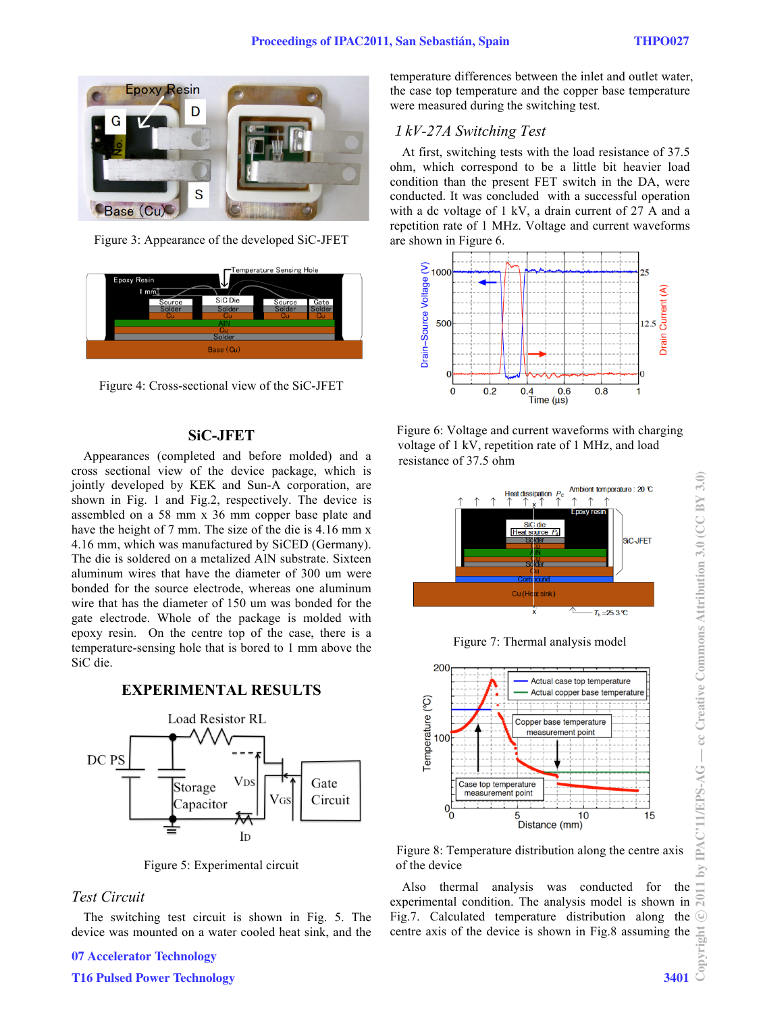

Figure 3: Appearance of the developed SiC-JFET



Figure 4: Cross-sectional view of the SiC-JFET

## **SiC-JFET**

Appearances (completed and before molded) and a cross sectional view of the device package, which is jointly developed by KEK and Sun-A corporation, are shown in Fig. 1 and Fig.2, respectively. The device is assembled on a 58 mm x 36 mm copper base plate and have the height of 7 mm. The size of the die is 4.16 mm x 4.16 mm, which was manufactured by SiCED (Germany). The die is soldered on a metalized AlN substrate. Sixteen aluminum wires that have the diameter of 300 um were bonded for the source electrode, whereas one aluminum wire that has the diameter of 150 um was bonded for the gate electrode. Whole of the package is molded with epoxy resin. On the centre top of the case, there is a temperature-sensing hole that is bored to 1 mm above the SiC die.

**EXPERIMENTAL RESULTS** 



Figure 5: Experimental circuit

## *Test Circuit*

The switching test circuit is shown in Fig. 5. The device was mounted on a water cooled heat sink, and the

### 07 Accelerator Technology

T16 Pulsed Power Technology 3401

temperature differences between the inlet and outlet water, the case top temperature and the copper base temperature were measured during the switching test.

## *kV-27A Switching Test*

At first, switching tests with the load resistance of 37.5 ohm, which correspond to be a little bit heavier load condition than the present FET switch in the DA, were conducted. It was concluded with a successful operation with a dc voltage of 1 kV, a drain current of 27 A and a repetition rate of 1 MHz. Voltage and current waveforms are shown in Figure 6.







Figure 7: Thermal analysis model



Figure 8: Temperature distribution along the centre axis of the device

Also thermal analysis was conducted for the experimental condition. The analysis model is shown in Fig.7. Calculated temperature distribution along the centre axis of the device is shown in Fig.8 assuming the